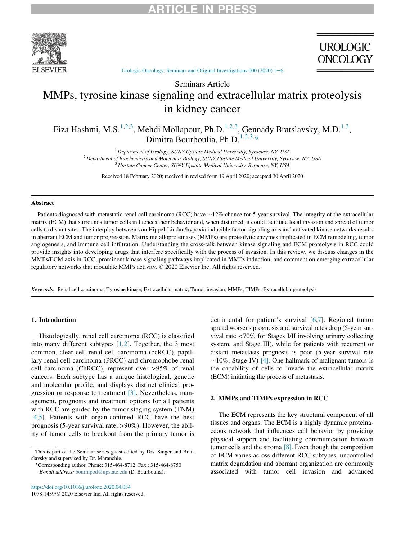

**UROLOGIC ONCOLOGY** 

[Urologic Oncology: Seminars and Original Investigations 000 \(2020\) 1](https://doi.org/10.1016/j.urolonc.2020.04.034)−6

## Seminars Article MMPs, tyrosine kinase signaling and extracellular matrix proteolysis in kidney cancer

<span id="page-0-0"></span>Fiza Hashmi, M.S.<sup>[1](#page-0-0)[,2](#page-0-1)[,3](#page-0-2)</sup>, Mehdi Mollapour, Ph.D.<sup>1,2,[3](#page-0-2)</sup>, Gennady Bratslavsky, M.D.<sup>[1,](#page-0-0)3</sup>, Dimitra Bourboulia, Ph.D.<sup>[1](#page-0-0),[2,](#page-0-1)[3,](#page-0-2)[\\*](#page-0-3)</sup>

 $1$  Department of Urology, SUNY Upstate Medical University, Syracuse, NY, USA <sup>2</sup> Department of Biochemistry and Molecular Biology, SUNY Upstate Medical University, Syracuse, NY, USA  $3$  Upstate Cancer Center, SUNY Upstate Medical University, Syracuse, NY, USA

Received 18 February 2020; received in revised form 19 April 2020; accepted 30 April 2020

### <span id="page-0-2"></span><span id="page-0-1"></span>Abstract

Patients diagnosed with metastatic renal cell carcinoma (RCC) have  $\sim$ 12% chance for 5-year survival. The integrity of the extracellular matrix (ECM) that surrounds tumor cells influences their behavior and, when disturbed, it could facilitate local invasion and spread of tumor cells to distant sites. The interplay between von Hippel-Lindau/hypoxia inducible factor signaling axis and activated kinase networks results in aberrant ECM and tumor progression. Matrix metalloproteinases (MMPs) are proteolytic enzymes implicated in ECM remodeling, tumor angiogenesis, and immune cell infiltration. Understanding the cross-talk between kinase signaling and ECM proteolysis in RCC could provide insights into developing drugs that interfere specifically with the process of invasion. In this review, we discuss changes in the MMPs/ECM axis in RCC, prominent kinase signaling pathways implicated in MMPs induction, and comment on emerging extracellular regulatory networks that modulate MMPs activity. © 2020 Elsevier Inc. All rights reserved.

Keywords: Renal cell carcinoma; Tyrosine kinase; Extracellular matrix; Tumor invasion; MMPs; TIMPs; Extracellular proteolysis

### 1. Introduction

Histologically, renal cell carcinoma (RCC) is classified into many different subtypes [[1](#page-4-0),[2\]](#page-4-1). Together, the 3 most common, clear cell renal cell carcinoma (ccRCC), papillary renal cell carcinoma (PRCC) and chromophobe renal cell carcinoma (ChRCC), represent over >95% of renal cancers. Each subtype has a unique histological, genetic and molecular profile, and displays distinct clinical progression or response to treatment [\[3\]](#page-4-2). Nevertheless, management, prognosis and treatment options for all patients with RCC are guided by the tumor staging system (TNM) [\[4](#page-4-3),[5](#page-4-4)]. Patients with organ-confined RCC have the best prognosis (5-year survival rate, >90%). However, the ability of tumor cells to breakout from the primary tumor is

\*Corresponding author. Phone: 315-464-8712; Fax.: 315-464-8750 E-mail address: [bourmpod@upstate.edu](mailto:bourmpod@upstate.edu) (D. Bourboulia).

<https://doi.org/10.1016/j.urolonc.2020.04.034> 1078-1439/© 2020 Elsevier Inc. All rights reserved. detrimental for patient's survival [\[6](#page-4-5),[7](#page-4-6)]. Regional tumor spread worsens prognosis and survival rates drop (5-year survival rate <70% for Stages I/II involving urinary collecting system, and Stage III), while for patients with recurrent or distant metastasis prognosis is poor (5-year survival rate  $\sim$ 10%, Stage IV) [\[4\].](#page-4-3) One hallmark of malignant tumors is the capability of cells to invade the extracellular matrix (ECM) initiating the process of metastasis.

### 2. MMPs and TIMPs expression in RCC

The ECM represents the key structural component of all tissues and organs. The ECM is a highly dynamic proteinaceous network that influences cell behavior by providing physical support and facilitating communication between tumor cells and the stroma  $[8]$ . Even though the composition of ECM varies across different RCC subtypes, uncontrolled matrix degradation and aberrant organization are commonly associated with tumor cell invasion and advanced

<span id="page-0-3"></span>This is part of the Seminar series guest edited by Drs. Singer and Bratslavsky and supervised by Dr. Maranchie.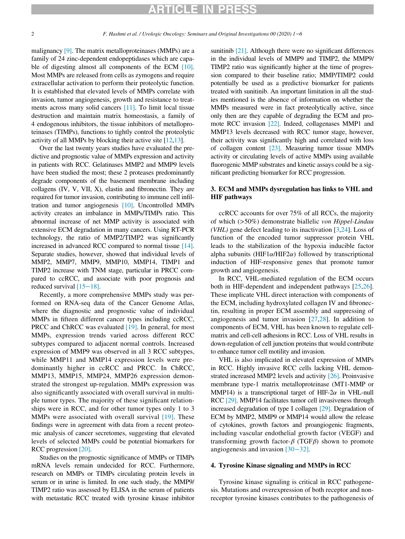## RTICLE IN PRES

malignancy [\[9\]](#page-4-8). The matrix metalloproteinases (MMPs) are a family of 24 zinc-dependent endopeptidases which are capa-ble of digesting almost all components of the ECM [\[10\].](#page-4-9) Most MMPs are released from cells as zymogens and require extracellular activation to perform their proteolytic function. It is established that elevated levels of MMPs correlate with invasion, tumor angiogenesis, growth and resistance to treatments across many solid cancers [\[11\].](#page-4-10) To limit local tissue destruction and maintain matrix homeostasis, a family of 4 endogenous inhibitors, the tissue inhibitors of metalloproteinases (TIMPs), functions to tightly control the proteolytic activity of all MMPs by blocking their active site [\[12](#page-4-11)[,13](#page-4-12)].

Over the last twenty years studies have evaluated the predictive and prognostic value of MMPs expression and activity in patients with RCC. Gelatinases MMP2 and MMP9 levels have been studied the most; these 2 proteases predominantly degrade components of the basement membrane including collagens (IV, V, VII, X), elastin and fibronectin. They are required for tumor invasion, contributing to immune cell infiltration and tumor angiogenesis [\[10\].](#page-4-9) Uncontrolled MMPs activity creates an imbalance in MMPs/TIMPs ratio. This abnormal increase of net MMP activity is associated with extensive ECM degradation in many cancers. Using RT-PCR technology, the ratio of MMP2/TIMP2 was significantly increased in advanced RCC compared to normal tissue [\[14\].](#page-4-13) Separate studies, however, showed that individual levels of MMP2, MMP7, MMP9, MMP10, MMP14, TIMP1 and TIMP2 increase with TNM stage, particular in PRCC compared to ccRCC, and associate with poor prognosis and reduced survival [\[15](#page-4-14)−18].

Recently, a more comprehensive MMPs study was performed on RNA-seq data of the Cancer Genome Atlas, where the diagnostic and prognostic value of individual MMPs in fifteen different cancer types including ccRCC, PRCC and ChRCC was evaluated [\[19\].](#page-4-15) In general, for most MMPs, expression trends varied across different RCC subtypes compared to adjacent normal controls. Increased expression of MMP9 was observed in all 3 RCC subtypes, while MMP11 and MMP14 expression levels were predominantly higher in ccRCC and PRCC. In ChRCC, MMP13, MMP15, MMP24, MMP26 expression demonstrated the strongest up-regulation. MMPs expression was also significantly associated with overall survival in multiple tumor types. The majority of these significant relationships were in RCC, and for other tumor types only 1 to 3 MMPs were associated with overall survival [\[19\].](#page-4-15) These findings were in agreement with data from a recent proteomic analysis of cancer secretomes, suggesting that elevated levels of selected MMPs could be potential biomarkers for RCC progression [\[20\]](#page-4-16).

Studies on the prognostic significance of MMPs or TIMPs mRNA levels remain undecided for RCC. Furthermore, research on MMPs or TIMPs circulating protein levels in serum or in urine is limited. In one such study, the MMP9/ TIMP2 ratio was assessed by ELISA in the serum of patients with metastatic RCC treated with tyrosine kinase inhibitor

sunitinib [\[21\].](#page-4-17) Although there were no significant differences in the individual levels of MMP9 and TIMP2, the MMP9/ TIMP2 ratio was significantly higher at the time of progression compared to their baseline ratio; MMP/TIMP2 could potentially be used as a predictive biomarker for patients treated with sunitinib. An important limitation in all the studies mentioned is the absence of information on whether the MMPs measured were in fact proteolytically active, since only then are they capable of degrading the ECM and promote RCC invasion [\[22\].](#page-5-0) Indeed, collagenases MMP1 and MMP13 levels decreased with RCC tumor stage, however, their activity was significantly high and correlated with loss of collagen content [\[23\].](#page-5-1) Measuring tumor tissue MMPs activity or circulating levels of active MMPs using available fluorogenic MMP substrates and kinetic assays could be a significant predicting biomarker for RCC progression.

### 3. ECM and MMPs dysregulation has links to VHL and HIF pathways

ccRCC accounts for over 75% of all RCCs, the majority of which (>50%) demonstrate biallelic von Hippel-Lindau (*VHL*) gene defect leading to its inactivation  $[3,24]$  $[3,24]$  $[3,24]$  $[3,24]$ . Loss of function of the encoded tumor suppressor protein VHL leads to the stabilization of the hypoxia inducible factor alpha subunits (HIF1 $\alpha$ /HIF2 $\alpha$ ) followed by transcriptional induction of HIF-responsive genes that promote tumor growth and angiogenesis.

In RCC, VHL-mediated regulation of the ECM occurs both in HIF-dependent and independent pathways [[25](#page-5-3)[,26](#page-5-4)]. These implicate VHL direct interaction with components of the ECM, including hydroxylated collagen IV and fibronectin, resulting in proper ECM assembly and suppressing of angiogenesis and tumor invasion [\[27](#page-5-5),[28](#page-5-6)]. In addition to components of ECM, VHL has been known to regulate cellmatrix and cell-cell adhesions in RCC. Loss of VHL results in down-regulation of cell junction proteins that would contribute to enhance tumor cell motility and invasion.

VHL is also implicated in elevated expression of MMPs in RCC. Highly invasive RCC cells lacking VHL demonstrated increased MMP2 levels and activity [\[26\]](#page-5-4). Proinvasive membrane type-1 matrix metalloproteinase (MT1-MMP or MMP14) is a transcriptional target of HIF-2 $\alpha$  in VHL-null RCC [\[29\].](#page-5-7) MMP14 facilitates tumor cell invasiveness through increased degradation of type I collagen [\[29\]](#page-5-7). Degradation of ECM by MMP2, MMP9 or MMP14 would allow the release of cytokines, growth factors and proangiogenic fragments, including vascular endothelial growth factor (VEGF) and transforming growth factor- $\beta$  (TGF $\beta$ ) shown to promote angiogenesis and invasion [30−[32\].](#page-5-8)

### 4. Tyrosine Kinase signaling and MMPs in RCC

Tyrosine kinase signaling is critical in RCC pathogenesis. Mutations and overexpression of both receptor and nonreceptor tyrosine kinases contributes to the pathogenesis of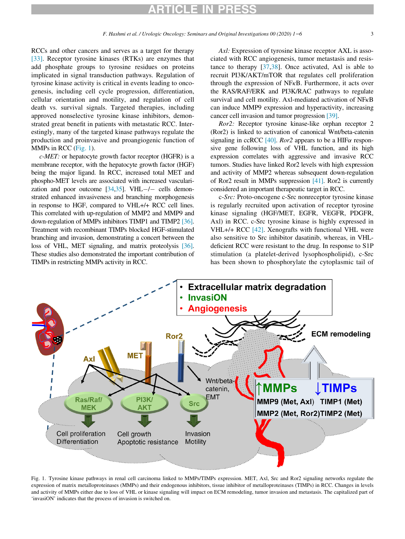# ARTICLE IN PRESS

RCCs and other cancers and serves as a target for therapy [\[33\]](#page-5-9). Receptor tyrosine kinases (RTKs) are enzymes that add phosphate groups to tyrosine residues on proteins implicated in signal transduction pathways. Regulation of tyrosine kinase activity is critical in events leading to oncogenesis, including cell cycle progression, differentiation, cellular orientation and motility, and regulation of cell death vs. survival signals. Targeted therapies, including approved nonselective tyrosine kinase inhibitors, demonstrated great benefit in patients with metastatic RCC. Interestingly, many of the targeted kinase pathways regulate the production and proinvasive and proangiogenic function of

MMPs in RCC [\(Fig. 1](#page-2-0)). c-MET: or hepatocyte growth factor receptor (HGFR) is a membrane receptor, with the hepatocyte growth factor (HGF) being the major ligand. In RCC, increased total MET and phospho-MET levels are associated with increased vascularization and poor outcome  $[34,35]$  $[34,35]$  $[34,35]$  $[34,35]$ . VHL $-/-$  cells demonstrated enhanced invasiveness and branching morphogenesis in response to HGF, compared to VHL+/+ RCC cell lines. This correlated with up-regulation of MMP2 and MMP9 and down-regulation of MMPs inhibitors TIMP1 and TIMP2 [\[36\]](#page-5-12). Treatment with recombinant TIMPs blocked HGF-stimulated branching and invasion, demonstrating a concert between the loss of VHL, MET signaling, and matrix proteolysis [\[36\]](#page-5-12). These studies also demonstrated the important contribution of TIMPs in restricting MMPs activity in RCC.

Axl: Expression of tyrosine kinase receptor AXL is associated with RCC angiogenesis, tumor metastasis and resistance to therapy [\[37](#page-5-13),[38\]](#page-5-14). Once activated, Axl is able to recruit PI3K/AKT/mTOR that regulates cell proliferation through the expression of NF $\kappa$ B. Furthermore, it acts over the RAS/RAF/ERK and PI3K/RAC pathways to regulate survival and cell motility. Axl-mediated activation of NFkB can induce MMP9 expression and hyperactivity, increasing cancer cell invasion and tumor progression [\[39\].](#page-5-15)

Ror2: Receptor tyrosine kinase-like orphan receptor 2 (Ror2) is linked to activation of canonical Wnt/beta-catenin signaling in ccRCC  $[40]$ . *Ror2* appears to be a HIF $\alpha$  responsive gene following loss of VHL function, and its high expression correlates with aggressive and invasive RCC tumors. Studies have linked Ror2 levels with high expression and activity of MMP2 whereas subsequent down-regulation of Ror2 result in MMPs suppression [\[41\]](#page-5-17). Ror2 is currently considered an important therapeutic target in RCC.

c-Src: Proto-oncogene c-Src nonreceptor tyrosine kinase is regularly recruited upon activation of receptor tyrosine kinase signaling (HGF/MET, EGFR, VEGFR, PDGFR, Axl) in RCC. c-Src tyrosine kinase is highly expressed in VHL+/+ RCC [\[42\]](#page-5-18). Xenografts with functional VHL were also sensitive to Src inhibitor dasatinib, whereas, in VHLdeficient RCC were resistant to the drug. In response to S1P stimulation (a platelet-derived lysophospholipid), c-Src has been shown to phosphorylate the cytoplasmic tail of

<span id="page-2-0"></span>

Fig. 1. Tyrosine kinase pathways in renal cell carcinoma linked to MMPs/TIMPs expression. MET, Axl, Src and Ror2 signaling networks regulate the expression of matrix metalloproteinases (MMPs) and their endogenous inhibitors, tissue inhibitor of metalloproteinases (TIMPs) in RCC. Changes in levels and activity of MMPs either due to loss of VHL or kinase signaling will impact on ECM remodeling, tumor invasion and metastasis. The capitalized part of 'invasiON' indicates that the process of invasion is switched on.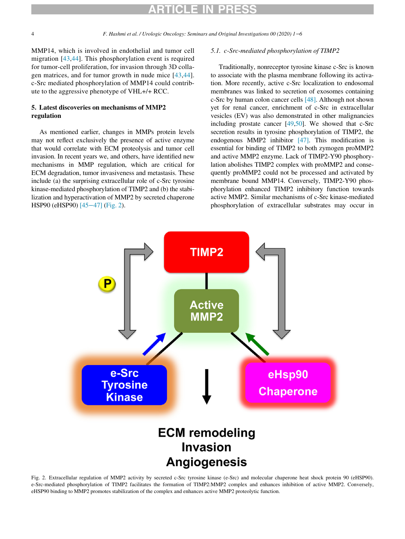# ARTICLE IN PRESS

MMP14, which is involved in endothelial and tumor cell migration [[43,](#page-5-19)[44](#page-5-20)]. This phosphorylation event is required for tumor-cell proliferation, for invasion through 3D collagen matrices, and for tumor growth in nude mice [\[43](#page-5-19),[44](#page-5-20)]. c-Src mediated phosphorylation of MMP14 could contribute to the aggressive phenotype of VHL+/+ RCC.

### 5. Latest discoveries on mechanisms of MMP2 regulation

As mentioned earlier, changes in MMPs protein levels may not reflect exclusively the presence of active enzyme that would correlate with ECM proteolysis and tumor cell invasion. In recent years we, and others, have identified new mechanisms in MMP regulation, which are critical for ECM degradation, tumor invasiveness and metastasis. These include (a) the surprising extracellular role of c-Src tyrosine kinase-mediated phosphorylation of TIMP2 and (b) the stabilization and hyperactivation of MMP2 by secreted chaperone HSP90 (eHSP90) [\[45](#page-5-21)−47] ([Fig. 2](#page-3-0)).

### 5.1. c-Src-mediated phosphorylation of TIMP2

Traditionally, nonreceptor tyrosine kinase c-Src is known to associate with the plasma membrane following its activation. More recently, active c-Src localization to endosomal membranes was linked to secretion of exosomes containing c-Src by human colon cancer cells [\[48\]](#page-5-22). Although not shown yet for renal cancer, enrichment of c-Src in extracellular vesicles (EV) was also demonstrated in other malignancies including prostate cancer [\[49](#page-5-23)[,50\]](#page-5-24). We showed that c-Src secretion results in tyrosine phosphorylation of TIMP2, the endogenous MMP2 inhibitor [\[47\].](#page-5-25) This modification is essential for binding of TIMP2 to both zymogen proMMP2 and active MMP2 enzyme. Lack of TIMP2-Y90 phosphorylation abolishes TIMP2 complex with proMMP2 and consequently proMMP2 could not be processed and activated by membrane bound MMP14. Conversely, TIMP2-Y90 phosphorylation enhanced TIMP2 inhibitory function towards active MMP2. Similar mechanisms of c-Src kinase-mediated phosphorylation of extracellular substrates may occur in

<span id="page-3-0"></span>

Fig. 2. Extracellular regulation of MMP2 activity by secreted c-Src tyrosine kinase (e-Src) and molecular chaperone heat shock protein 90 (eHSP90). e-Src-mediated phosphorylation of TIMP2 facilitates the formation of TIMP2:MMP2 complex and enhances inhibition of active MMP2. Conversely, eHSP90 binding to MMP2 promotes stabilization of the complex and enhances active MMP2 proteolytic function.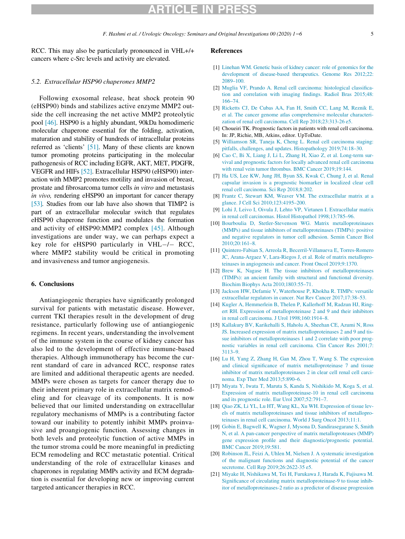### RTICLE IN PRE

### <span id="page-4-1"></span><span id="page-4-0"></span>5.2. Extracellular HSP90 chaperones MMP2

<span id="page-4-6"></span><span id="page-4-5"></span><span id="page-4-4"></span><span id="page-4-3"></span><span id="page-4-2"></span>Following exosomal release, heat shock protein 90 (eHSP90) binds and stabilizes active enzyme MMP2 outside the cell increasing the net active MMP2 proteolytic pool [\[46\]](#page-5-26). HSP90 is a highly abundant, 90kDa homodimeric molecular chaperone essential for the folding, activation, maturation and stability of hundreds of intracellular proteins referred as 'clients' [\[51\].](#page-5-27) Many of these clients are known tumor promoting proteins participating in the molecular pathogenesis of RCC including EGFR, AKT, MET, PDGFR, VEGFR and HIFs [\[52\].](#page-5-28) Extracellular HSP90 (eHSP90) interaction with MMP2 promotes motility and invasion of breast, prostate and fibrosarcoma tumor cells in vitro and metastasis in vivo, rendering eHSP90 an important for cancer therapy [\[53\]](#page-5-29). Studies from our lab have also shown that TIMP2 is part of an extracellular molecular switch that regulates eHSP90 chaperone function and modulates the formation and activity of eHSP90:MMP2 complex [\[45\]](#page-5-21). Although investigations are under way, we can perhaps expect a key role for eHSP90 particularly in  $VHL-/-$  RCC, where MMP2 stability would be critical in promoting and invasiveness and tumor angiogenesis.

### <span id="page-4-12"></span><span id="page-4-11"></span><span id="page-4-10"></span><span id="page-4-9"></span><span id="page-4-8"></span><span id="page-4-7"></span>6. Conclusions

<span id="page-4-17"></span><span id="page-4-16"></span><span id="page-4-15"></span><span id="page-4-14"></span><span id="page-4-13"></span>Antiangiogenic therapies have significantly prolonged survival for patients with metastatic disease. However, current TKI therapies result in the development of drug resistance, particularly following use of antiangiogenic regimens. In recent years, understanding the involvement of the immune system in the course of kidney cancer has also led to the development of effective immune-based therapies. Although immunotherapy has become the current standard of care in advanced RCC, response rates are limited and additional therapeutic agents are needed. MMPs were chosen as targets for cancer therapy due to their inherent primary role in extracellular matrix remodeling and for cleavage of its components. It is now believed that our limited understanding on extracellular regulatory mechanisms of MMPs is a contributing factor toward our inability to potently inhibit MMPs proinvasive and proangiogenic function. Assessing changes in both levels and proteolytic function of active MMPs in the tumor stroma could be more meaningful in predicting ECM remodeling and RCC metastatic potential. Critical understanding of the role of extracellular kinases and chaperones in regulating MMPs activity and ECM degradation is essential for developing new or improving current targeted anticancer therapies in RCC.

#### References

- [1] [Linehan WM. Genetic basis of kidney cancer: role of genomics for the](http://refhub.elsevier.com/S1078-1439(20)30194-0/sbref0001) [development of disease-based therapeutics. Genome Res 2012;22:](http://refhub.elsevier.com/S1078-1439(20)30194-0/sbref0001) [2089–100.](http://refhub.elsevier.com/S1078-1439(20)30194-0/sbref0001)
- [2] [Muglia VF, Prando A. Renal cell carcinoma: histological classifica](http://refhub.elsevier.com/S1078-1439(20)30194-0/sbref0002)[tion and correlation with imaging findings. Radiol Bras 2015;48:](http://refhub.elsevier.com/S1078-1439(20)30194-0/sbref0002) [166–74.](http://refhub.elsevier.com/S1078-1439(20)30194-0/sbref0002)
- [3] [Ricketts CJ, De Cubas AA, Fan H, Smith CC, Lang M, Reznik E,](http://refhub.elsevier.com/S1078-1439(20)30194-0/sbref0003) [et al. The cancer genome atlas comprehensive molecular characteri](http://refhub.elsevier.com/S1078-1439(20)30194-0/sbref0003)[zation of renal cell carcinoma. Cell Rep 2018;23:313-26 e5.](http://refhub.elsevier.com/S1078-1439(20)30194-0/sbref0003)
- [4] Choueiri TK. Prognostic factors in patients with renal cell carcinoma. In: JP, Richie, MB, Atkins, editor. UpToDate.
- [5] [Williamson SR, Taneja K, Cheng L. Renal cell carcinoma staging:](http://refhub.elsevier.com/S1078-1439(20)30194-0/sbref0004) [pitfalls, challenges, and updates. Histopathology 2019;74:18–30.](http://refhub.elsevier.com/S1078-1439(20)30194-0/sbref0004)
- [6] [Cao C, Bi X, Liang J, Li L, Zhang H, Xiao Z, et al. Long-term sur](http://refhub.elsevier.com/S1078-1439(20)30194-0/sbref0005)[vival and prognostic factors for locally advanced renal cell carcinoma](http://refhub.elsevier.com/S1078-1439(20)30194-0/sbref0005) [with renal vein tumor thrombus. BMC Cancer 2019;19:144.](http://refhub.elsevier.com/S1078-1439(20)30194-0/sbref0005)
- [7] [Ha US, Lee KW, Jung JH, Byun SS, Kwak C, Chung J, et al. Renal](http://refhub.elsevier.com/S1078-1439(20)30194-0/sbref0006) [capsular invasion is a prognostic biomarker in localized clear cell](http://refhub.elsevier.com/S1078-1439(20)30194-0/sbref0006) [renal cell carcinoma. Sci Rep 2018;8:202.](http://refhub.elsevier.com/S1078-1439(20)30194-0/sbref0006)
- [8] [Frantz C, Stewart KM, Weaver VM. The extracellular matrix at a](http://refhub.elsevier.com/S1078-1439(20)30194-0/sbref0007) [glance. J Cell Sci 2010;123:4195–200.](http://refhub.elsevier.com/S1078-1439(20)30194-0/sbref0007)
- [9] [Lohi J, Leivo I, Oivula J, Lehto VP, Virtanen I. Extracellular matrix](http://refhub.elsevier.com/S1078-1439(20)30194-0/sbref0008) [in renal cell carcinomas. Histol Histopathol 1998;13:785–96.](http://refhub.elsevier.com/S1078-1439(20)30194-0/sbref0008)
- [10] [Bourboulia D, Stetler-Stevenson WG. Matrix metalloproteinases](http://refhub.elsevier.com/S1078-1439(20)30194-0/sbref0009) [\(MMPs\) and tissue inhibitors of metalloproteinases \(TIMPs\): positive](http://refhub.elsevier.com/S1078-1439(20)30194-0/sbref0009) [and negative regulators in tumor cell adhesion. Semin Cancer Biol](http://refhub.elsevier.com/S1078-1439(20)30194-0/sbref0009) [2010;20:161–8.](http://refhub.elsevier.com/S1078-1439(20)30194-0/sbref0009)
- [11] [Quintero-Fabian S, Arreola R, Becerril-Villanueva E, Torres-Romero](http://refhub.elsevier.com/S1078-1439(20)30194-0/sbref0010) [JC, Arana-Argaez V, Lara-Riegos J, et al. Role of matrix metallopro](http://refhub.elsevier.com/S1078-1439(20)30194-0/sbref0010)[teinases in angiogenesis and cancer. Front Oncol 2019;9:1370.](http://refhub.elsevier.com/S1078-1439(20)30194-0/sbref0010)
- [12] [Brew K, Nagase H. The tissue inhibitors of metalloproteinases](http://refhub.elsevier.com/S1078-1439(20)30194-0/sbref0011) [\(TIMPs\): an ancient family with structural and functional diversity.](http://refhub.elsevier.com/S1078-1439(20)30194-0/sbref0011) [Biochim Biophys Acta 2010;1803:55–71.](http://refhub.elsevier.com/S1078-1439(20)30194-0/sbref0011)
- [13] [Jackson HW, Defamie V, Waterhouse P, Khokha R. TIMPs: versatile](http://refhub.elsevier.com/S1078-1439(20)30194-0/sbref0012) [extracellular regulators in cancer. Nat Rev Cancer 2017;17:38–53.](http://refhub.elsevier.com/S1078-1439(20)30194-0/sbref0012)
- [14] [Kugler A, Hemmerlein B, Thelen P, Kallerhoff M, Radzun HJ, Ring](http://refhub.elsevier.com/S1078-1439(20)30194-0/sbref0013)[ert RH. Expression of metalloproteinase 2 and 9 and their inhibitors](http://refhub.elsevier.com/S1078-1439(20)30194-0/sbref0013) [in renal cell carcinoma. J Urol 1998;160:1914–8.](http://refhub.elsevier.com/S1078-1439(20)30194-0/sbref0013)
- [15] [Kallakury BV, Karikehalli S, Haholu A, Sheehan CE, Azumi N, Ross](http://refhub.elsevier.com/S1078-1439(20)30194-0/sbref0014) [JS. Increased expression of matrix metalloproteinases 2 and 9 and tis](http://refhub.elsevier.com/S1078-1439(20)30194-0/sbref0014)[sue inhibitors of metalloproteinases 1 and 2 correlate with poor prog](http://refhub.elsevier.com/S1078-1439(20)30194-0/sbref0014)[nostic variables in renal cell carcinoma. Clin Cancer Res 2001;7:](http://refhub.elsevier.com/S1078-1439(20)30194-0/sbref0014) [3113–9.](http://refhub.elsevier.com/S1078-1439(20)30194-0/sbref0014)
- [16] [Lu H, Yang Z, Zhang H, Gan M, Zhou T, Wang S. The expression](http://refhub.elsevier.com/S1078-1439(20)30194-0/sbref0015) [and clinical significance of matrix metalloproteinase 7 and tissue](http://refhub.elsevier.com/S1078-1439(20)30194-0/sbref0015) [inhibitor of matrix metalloproteinases 2 in clear cell renal cell carci](http://refhub.elsevier.com/S1078-1439(20)30194-0/sbref0015)[noma. Exp Ther Med 2013;5:890–6.](http://refhub.elsevier.com/S1078-1439(20)30194-0/sbref0015)
- [17] [Miyata Y, Iwata T, Maruta S, Kanda S, Nishikido M, Koga S, et al.](http://refhub.elsevier.com/S1078-1439(20)30194-0/sbref0016) [Expression of matrix metalloproteinase-10 in renal cell carcinoma](http://refhub.elsevier.com/S1078-1439(20)30194-0/sbref0016) [and its prognostic role. Eur Urol 2007;52:791–7.](http://refhub.elsevier.com/S1078-1439(20)30194-0/sbref0016)
- [18] [Qiao ZK, Li YL, Lu HT, Wang KL, Xu WH. Expression of tissue lev](http://refhub.elsevier.com/S1078-1439(20)30194-0/sbref0017)[els of matrix metalloproteinases and tissue inhibitors of metallopro](http://refhub.elsevier.com/S1078-1439(20)30194-0/sbref0017)[teinases in renal cell carcinoma. World J Surg Oncol 2013;11:1.](http://refhub.elsevier.com/S1078-1439(20)30194-0/sbref0017)
- [19] [Gobin E, Bagwell K, Wagner J, Mysona D, Sandirasegarane S, Smith](http://refhub.elsevier.com/S1078-1439(20)30194-0/sbref0018) [N, et al. A pan-cancer perspective of matrix metalloproteases \(MMP\)](http://refhub.elsevier.com/S1078-1439(20)30194-0/sbref0018) [gene expression profile and their diagnostic/prognostic potential.](http://refhub.elsevier.com/S1078-1439(20)30194-0/sbref0018) [BMC Cancer 2019;19:581.](http://refhub.elsevier.com/S1078-1439(20)30194-0/sbref0018)
- [20] [Robinson JL, Feizi A, Uhlen M, Nielsen J. A systematic investigation](http://refhub.elsevier.com/S1078-1439(20)30194-0/sbref0019) [of the malignant functions and diagnostic potential of the cancer](http://refhub.elsevier.com/S1078-1439(20)30194-0/sbref0019) [secretome. Cell Rep 2019;26:2622-35 e5.](http://refhub.elsevier.com/S1078-1439(20)30194-0/sbref0019)
- [21] [Miyake H, Nishikawa M, Tei H, Furukawa J, Harada K, Fujisawa M.](http://refhub.elsevier.com/S1078-1439(20)30194-0/sbref0020) [Significance of circulating matrix metalloproteinase-9 to tissue inhib](http://refhub.elsevier.com/S1078-1439(20)30194-0/sbref0020)[itor of metalloproteinases-2 ratio as a predictor of disease progression](http://refhub.elsevier.com/S1078-1439(20)30194-0/sbref0020)